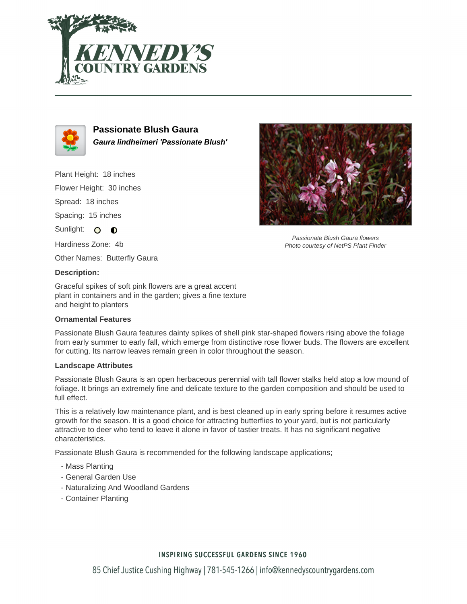



**Passionate Blush Gaura Gaura lindheimeri 'Passionate Blush'**

Plant Height: 18 inches

Flower Height: 30 inches

Spread: 18 inches

Spacing: 15 inches

Sunlight: O **O** 

Hardiness Zone: 4b

Other Names: Butterfly Gaura

## **Description:**

Graceful spikes of soft pink flowers are a great accent plant in containers and in the garden; gives a fine texture and height to planters

## **Ornamental Features**

Passionate Blush Gaura features dainty spikes of shell pink star-shaped flowers rising above the foliage from early summer to early fall, which emerge from distinctive rose flower buds. The flowers are excellent for cutting. Its narrow leaves remain green in color throughout the season.

#### **Landscape Attributes**

Passionate Blush Gaura is an open herbaceous perennial with tall flower stalks held atop a low mound of foliage. It brings an extremely fine and delicate texture to the garden composition and should be used to full effect.

This is a relatively low maintenance plant, and is best cleaned up in early spring before it resumes active growth for the season. It is a good choice for attracting butterflies to your yard, but is not particularly attractive to deer who tend to leave it alone in favor of tastier treats. It has no significant negative characteristics.

Passionate Blush Gaura is recommended for the following landscape applications;

- Mass Planting
- General Garden Use
- Naturalizing And Woodland Gardens
- Container Planting



Passionate Blush Gaura flowers Photo courtesy of NetPS Plant Finder

## **INSPIRING SUCCESSFUL GARDENS SINCE 1960**

85 Chief Justice Cushing Highway | 781-545-1266 | info@kennedyscountrygardens.com